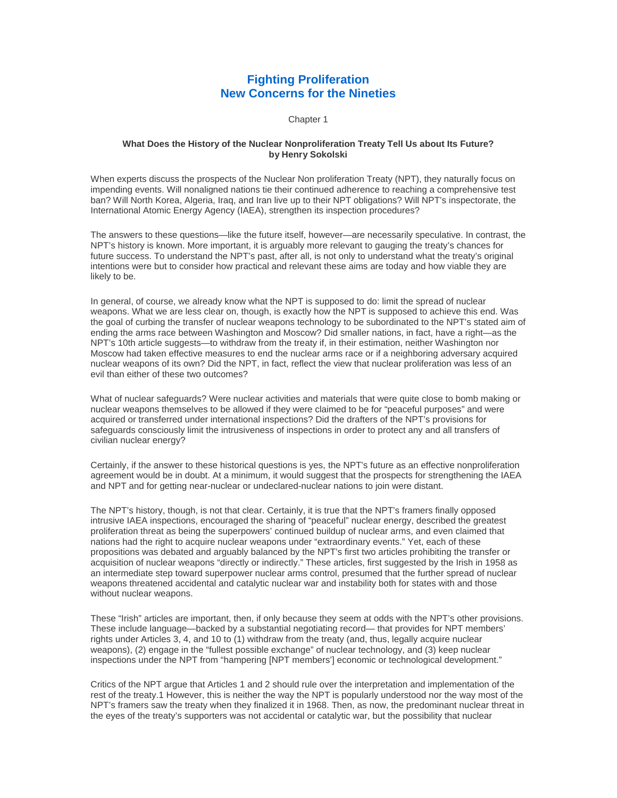# **Fighting Proliferation New Concerns for the Nineties**

Chapter 1

# **What Does the History of the Nuclear Nonproliferation Treaty Tell Us about Its Future? by Henry Sokolski**

When experts discuss the prospects of the Nuclear Non proliferation Treaty (NPT), they naturally focus on impending events. Will nonaligned nations tie their continued adherence to reaching a comprehensive test ban? Will North Korea, Algeria, Iraq, and Iran live up to their NPT obligations? Will NPT's inspectorate, the International Atomic Energy Agency (IAEA), strengthen its inspection procedures?

The answers to these questions—like the future itself, however—are necessarily speculative. In contrast, the NPT's history is known. More important, it is arguably more relevant to gauging the treaty's chances for future success. To understand the NPT's past, after all, is not only to understand what the treaty's original intentions were but to consider how practical and relevant these aims are today and how viable they are likely to be.

In general, of course, we already know what the NPT is supposed to do: limit the spread of nuclear weapons. What we are less clear on, though, is exactly how the NPT is supposed to achieve this end. Was the goal of curbing the transfer of nuclear weapons technology to be subordinated to the NPT's stated aim of ending the arms race between Washington and Moscow? Did smaller nations, in fact, have a right—as the NPT's 10th article suggests—to withdraw from the treaty if, in their estimation, neither Washington nor Moscow had taken effective measures to end the nuclear arms race or if a neighboring adversary acquired nuclear weapons of its own? Did the NPT, in fact, reflect the view that nuclear proliferation was less of an evil than either of these two outcomes?

What of nuclear safeguards? Were nuclear activities and materials that were quite close to bomb making or nuclear weapons themselves to be allowed if they were claimed to be for "peaceful purposes" and were acquired or transferred under international inspections? Did the drafters of the NPT's provisions for safeguards consciously limit the intrusiveness of inspections in order to protect any and all transfers of civilian nuclear energy?

Certainly, if the answer to these historical questions is yes, the NPT's future as an effective nonproliferation agreement would be in doubt. At a minimum, it would suggest that the prospects for strengthening the IAEA and NPT and for getting near-nuclear or undeclared-nuclear nations to join were distant.

The NPT's history, though, is not that clear. Certainly, it is true that the NPT's framers finally opposed intrusive IAEA inspections, encouraged the sharing of "peaceful" nuclear energy, described the greatest proliferation threat as being the superpowers' continued buildup of nuclear arms, and even claimed that nations had the right to acquire nuclear weapons under "extraordinary events." Yet, each of these propositions was debated and arguably balanced by the NPT's first two articles prohibiting the transfer or acquisition of nuclear weapons "directly or indirectly." These articles, first suggested by the Irish in 1958 as an intermediate step toward superpower nuclear arms control, presumed that the further spread of nuclear weapons threatened accidental and catalytic nuclear war and instability both for states with and those without nuclear weapons.

These "Irish" articles are important, then, if only because they seem at odds with the NPT's other provisions. These include language—backed by a substantial negotiating record— that provides for NPT members' rights under Articles 3, 4, and 10 to (1) withdraw from the treaty (and, thus, legally acquire nuclear weapons), (2) engage in the "fullest possible exchange" of nuclear technology, and (3) keep nuclear inspections under the NPT from "hampering [NPT members'] economic or technological development."

Critics of the NPT argue that Articles 1 and 2 should rule over the interpretation and implementation of the rest of the treaty.1 However, this is neither the way the NPT is popularly understood nor the way most of the NPT's framers saw the treaty when they finalized it in 1968. Then, as now, the predominant nuclear threat in the eyes of the treaty's supporters was not accidental or catalytic war, but the possibility that nuclear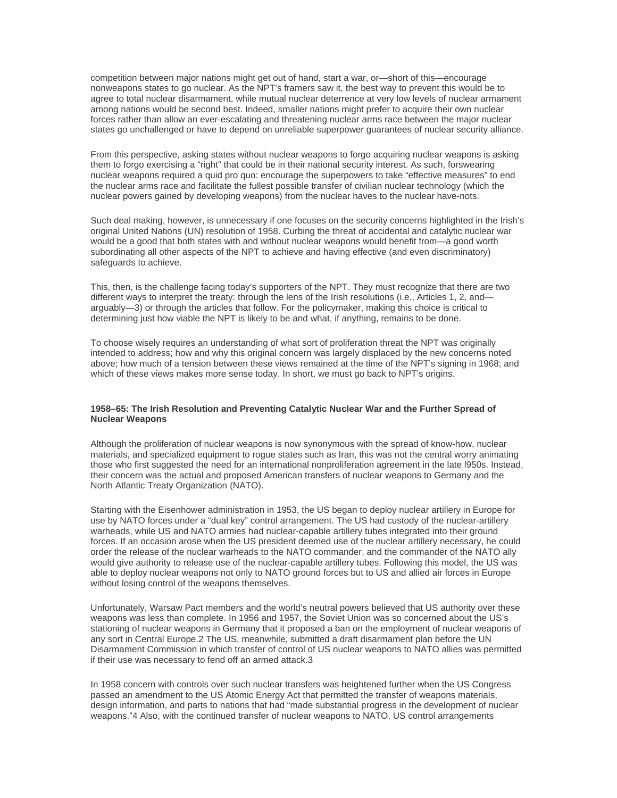competition between major nations might get out of hand, start a war, or—short of this—encourage nonweapons states to go nuclear. As the NPT's framers saw it, the best way to prevent this would be to agree to total nuclear disarmament, while mutual nuclear deterrence at very low levels of nuclear armament among nations would be second best. Indeed, smaller nations might prefer to acquire their own nuclear forces rather than allow an ever-escalating and threatening nuclear arms race between the major nuclear states go unchallenged or have to depend on unreliable superpower guarantees of nuclear security alliance.

From this perspective, asking states without nuclear weapons to forgo acquiring nuclear weapons is asking them to forgo exercising a "right" that could be in their national security interest. As such, forswearing nuclear weapons required a quid pro quo: encourage the superpowers to take "effective measures" to end the nuclear arms race and facilitate the fullest possible transfer of civilian nuclear technology (which the nuclear powers gained by developing weapons) from the nuclear haves to the nuclear have-nots.

Such deal making, however, is unnecessary if one focuses on the security concerns highlighted in the Irish's original United Nations (UN) resolution of 1958. Curbing the threat of accidental and catalytic nuclear war would be a good that both states with and without nuclear weapons would benefit from—a good worth subordinating all other aspects of the NPT to achieve and having effective (and even discriminatory) safeguards to achieve.

This, then, is the challenge facing today's supporters of the NPT. They must recognize that there are two different ways to interpret the treaty: through the lens of the Irish resolutions (i.e., Articles 1, 2, and arguably—3) or through the articles that follow. For the policymaker, making this choice is critical to determining just how viable the NPT is likely to be and what, if anything, remains to be done.

To choose wisely requires an understanding of what sort of proliferation threat the NPT was originally intended to address; how and why this original concern was largely displaced by the new concerns noted above; how much of a tension between these views remained at the time of the NPT's signing in 1968; and which of these views makes more sense today. In short, we must go back to NPT's origins.

# **1958–65: The Irish Resolution and Preventing Catalytic Nuclear War and the Further Spread of Nuclear Weapons**

Although the proliferation of nuclear weapons is now synonymous with the spread of know-how, nuclear materials, and specialized equipment to rogue states such as Iran, this was not the central worry animating those who first suggested the need for an international nonproliferation agreement in the late l950s. Instead, their concern was the actual and proposed American transfers of nuclear weapons to Germany and the North Atlantic Treaty Organization (NATO).

Starting with the Eisenhower administration in 1953, the US began to deploy nuclear artillery in Europe for use by NATO forces under a "dual key" control arrangement. The US had custody of the nuclear-artillery warheads, while US and NATO armies had nuclear-capable artillery tubes integrated into their ground forces. If an occasion arose when the US president deemed use of the nuclear artillery necessary, he could order the release of the nuclear warheads to the NATO commander, and the commander of the NATO ally would give authority to release use of the nuclear-capable artillery tubes. Following this model, the US was able to deploy nuclear weapons not only to NATO ground forces but to US and allied air forces in Europe without losing control of the weapons themselves.

Unfortunately, Warsaw Pact members and the world's neutral powers believed that US authority over these weapons was less than complete. In 1956 and 1957, the Soviet Union was so concerned about the US's stationing of nuclear weapons in Germany that it proposed a ban on the employment of nuclear weapons of any sort in Central Europe.2 The US, meanwhile, submitted a draft disarmament plan before the UN Disarmament Commission in which transfer of control of US nuclear weapons to NATO allies was permitted if their use was necessary to fend off an armed attack.3

In 1958 concern with controls over such nuclear transfers was heightened further when the US Congress passed an amendment to the US Atomic Energy Act that permitted the transfer of weapons materials, design information, and parts to nations that had "made substantial progress in the development of nuclear weapons."4 Also, with the continued transfer of nuclear weapons to NATO, US control arrangements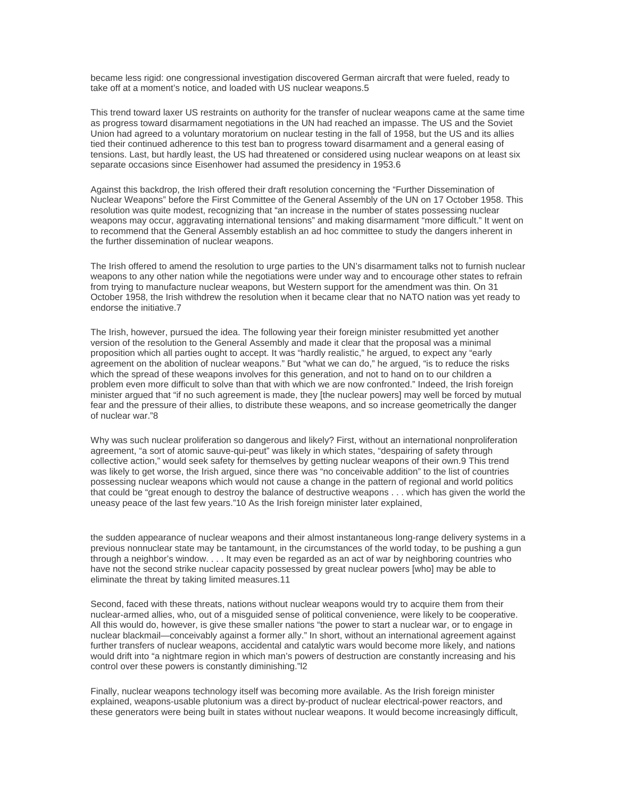became less rigid: one congressional investigation discovered German aircraft that were fueled, ready to take off at a moment's notice, and loaded with US nuclear weapons.5

This trend toward laxer US restraints on authority for the transfer of nuclear weapons came at the same time as progress toward disarmament negotiations in the UN had reached an impasse. The US and the Soviet Union had agreed to a voluntary moratorium on nuclear testing in the fall of 1958, but the US and its allies tied their continued adherence to this test ban to progress toward disarmament and a general easing of tensions. Last, but hardly least, the US had threatened or considered using nuclear weapons on at least six separate occasions since Eisenhower had assumed the presidency in 1953.6

Against this backdrop, the Irish offered their draft resolution concerning the "Further Dissemination of Nuclear Weapons" before the First Committee of the General Assembly of the UN on 17 October 1958. This resolution was quite modest, recognizing that "an increase in the number of states possessing nuclear weapons may occur, aggravating international tensions" and making disarmament "more difficult." It went on to recommend that the General Assembly establish an ad hoc committee to study the dangers inherent in the further dissemination of nuclear weapons.

The Irish offered to amend the resolution to urge parties to the UN's disarmament talks not to furnish nuclear weapons to any other nation while the negotiations were under way and to encourage other states to refrain from trying to manufacture nuclear weapons, but Western support for the amendment was thin. On 31 October 1958, the Irish withdrew the resolution when it became clear that no NATO nation was yet ready to endorse the initiative.7

The Irish, however, pursued the idea. The following year their foreign minister resubmitted yet another version of the resolution to the General Assembly and made it clear that the proposal was a minimal proposition which all parties ought to accept. It was "hardly realistic," he argued, to expect any "early agreement on the abolition of nuclear weapons." But "what we can do," he argued, "is to reduce the risks which the spread of these weapons involves for this generation, and not to hand on to our children a problem even more difficult to solve than that with which we are now confronted." Indeed, the Irish foreign minister argued that "if no such agreement is made, they [the nuclear powers] may well be forced by mutual fear and the pressure of their allies, to distribute these weapons, and so increase geometrically the danger of nuclear war."8

Why was such nuclear proliferation so dangerous and likely? First, without an international nonproliferation agreement, "a sort of atomic sauve-qui-peut" was likely in which states, "despairing of safety through collective action," would seek safety for themselves by getting nuclear weapons of their own.9 This trend was likely to get worse, the Irish argued, since there was "no conceivable addition" to the list of countries possessing nuclear weapons which would not cause a change in the pattern of regional and world politics that could be "great enough to destroy the balance of destructive weapons . . . which has given the world the uneasy peace of the last few years."10 As the Irish foreign minister later explained,

the sudden appearance of nuclear weapons and their almost instantaneous long-range delivery systems in a previous nonnuclear state may be tantamount, in the circumstances of the world today, to be pushing a gun through a neighbor's window. . . . It may even be regarded as an act of war by neighboring countries who have not the second strike nuclear capacity possessed by great nuclear powers [who] may be able to eliminate the threat by taking limited measures.11

Second, faced with these threats, nations without nuclear weapons would try to acquire them from their nuclear-armed allies, who, out of a misguided sense of political convenience, were likely to be cooperative. All this would do, however, is give these smaller nations "the power to start a nuclear war, or to engage in nuclear blackmail—conceivably against a former ally." In short, without an international agreement against further transfers of nuclear weapons, accidental and catalytic wars would become more likely, and nations would drift into "a nightmare region in which man's powers of destruction are constantly increasing and his control over these powers is constantly diminishing."l2

Finally, nuclear weapons technology itself was becoming more available. As the Irish foreign minister explained, weapons-usable plutonium was a direct by-product of nuclear electrical-power reactors, and these generators were being built in states without nuclear weapons. It would become increasingly difficult,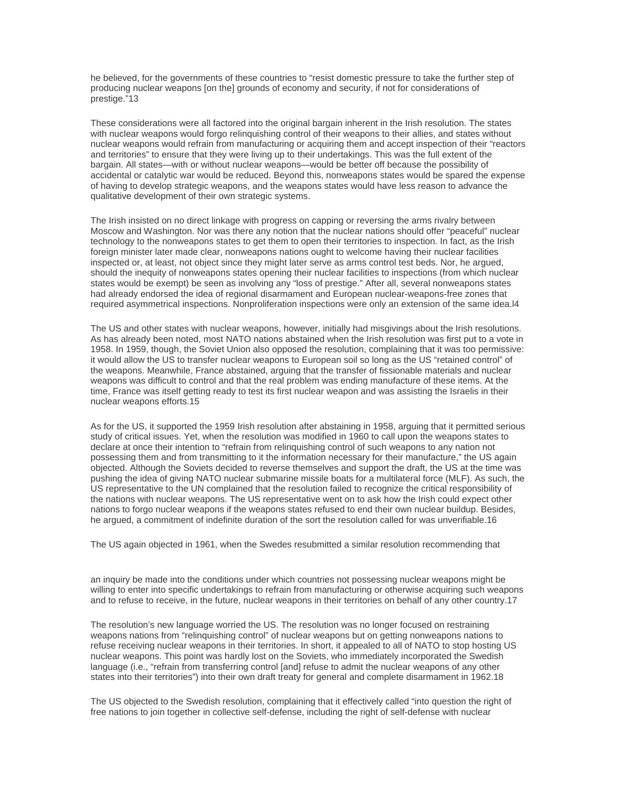he believed, for the governments of these countries to "resist domestic pressure to take the further step of producing nuclear weapons [on the] grounds of economy and security, if not for considerations of prestige."13

These considerations were all factored into the original bargain inherent in the Irish resolution. The states with nuclear weapons would forgo relinquishing control of their weapons to their allies, and states without nuclear weapons would refrain from manufacturing or acquiring them and accept inspection of their "reactors and territories" to ensure that they were living up to their undertakings. This was the full extent of the bargain. All states—with or without nuclear weapons—would be better off because the possibility of accidental or catalytic war would be reduced. Beyond this, nonweapons states would be spared the expense of having to develop strategic weapons, and the weapons states would have less reason to advance the qualitative development of their own strategic systems.

The Irish insisted on no direct linkage with progress on capping or reversing the arms rivalry between Moscow and Washington. Nor was there any notion that the nuclear nations should offer "peaceful" nuclear technology to the nonweapons states to get them to open their territories to inspection. In fact, as the Irish foreign minister later made clear, nonweapons nations ought to welcome having their nuclear facilities inspected or, at least, not object since they might later serve as arms control test beds. Nor, he argued, should the inequity of nonweapons states opening their nuclear facilities to inspections (from which nuclear states would be exempt) be seen as involving any "loss of prestige." After all, several nonweapons states had already endorsed the idea of regional disarmament and European nuclear-weapons-free zones that required asymmetrical inspections. Nonproliferation inspections were only an extension of the same idea.l4

The US and other states with nuclear weapons, however, initially had misgivings about the Irish resolutions. As has already been noted, most NATO nations abstained when the Irish resolution was first put to a vote in 1958. In 1959, though, the Soviet Union also opposed the resolution, complaining that it was too permissive: it would allow the US to transfer nuclear weapons to European soil so long as the US "retained control" of the weapons. Meanwhile, France abstained, arguing that the transfer of fissionable materials and nuclear weapons was difficult to control and that the real problem was ending manufacture of these items. At the time, France was itself getting ready to test its first nuclear weapon and was assisting the Israelis in their nuclear weapons efforts.15

As for the US, it supported the 1959 Irish resolution after abstaining in 1958, arguing that it permitted serious study of critical issues. Yet, when the resolution was modified in 1960 to call upon the weapons states to declare at once their intention to "refrain from relinquishing control of such weapons to any nation not possessing them and from transmitting to it the information necessary for their manufacture," the US again objected. Although the Soviets decided to reverse themselves and support the draft, the US at the time was pushing the idea of giving NATO nuclear submarine missile boats for a multilateral force (MLF). As such, the US representative to the UN complained that the resolution failed to recognize the critical responsibility of the nations with nuclear weapons. The US representative went on to ask how the Irish could expect other nations to forgo nuclear weapons if the weapons states refused to end their own nuclear buildup. Besides, he argued, a commitment of indefinite duration of the sort the resolution called for was unverifiable.16

The US again objected in 1961, when the Swedes resubmitted a similar resolution recommending that

an inquiry be made into the conditions under which countries not possessing nuclear weapons might be willing to enter into specific undertakings to refrain from manufacturing or otherwise acquiring such weapons and to refuse to receive, in the future, nuclear weapons in their territories on behalf of any other country.17

The resolution's new language worried the US. The resolution was no longer focused on restraining weapons nations from "relinquishing control" of nuclear weapons but on getting nonweapons nations to refuse receiving nuclear weapons in their territories. In short, it appealed to all of NATO to stop hosting US nuclear weapons. This point was hardly lost on the Soviets, who immediately incorporated the Swedish language (i.e., "refrain from transferring control [and] refuse to admit the nuclear weapons of any other states into their territories") into their own draft treaty for general and complete disarmament in 1962.18

The US objected to the Swedish resolution, complaining that it effectively called "into question the right of free nations to join together in collective self-defense, including the right of self-defense with nuclear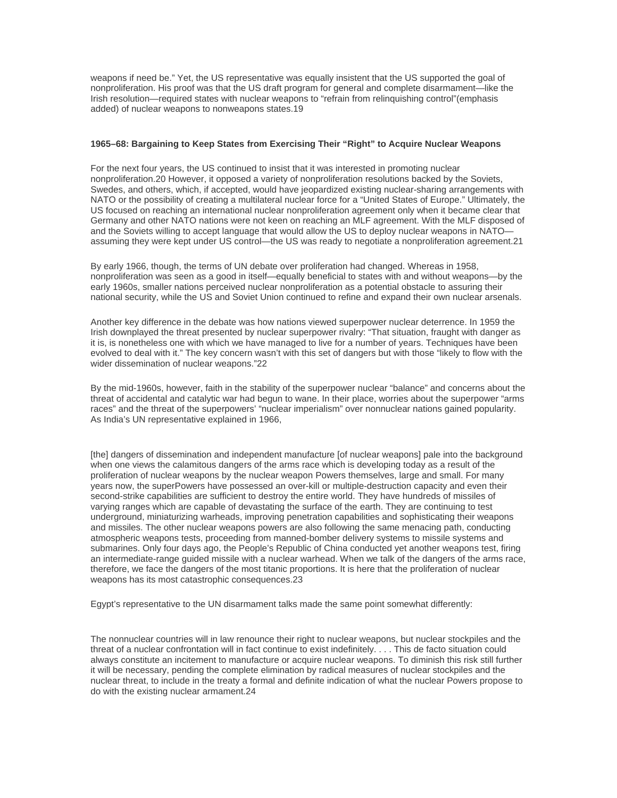weapons if need be." Yet, the US representative was equally insistent that the US supported the goal of nonproliferation. His proof was that the US draft program for general and complete disarmament—like the Irish resolution—required states with nuclear weapons to "refrain from relinquishing control"(emphasis added) of nuclear weapons to nonweapons states.19

## **1965–68: Bargaining to Keep States from Exercising Their "Right" to Acquire Nuclear Weapons**

For the next four years, the US continued to insist that it was interested in promoting nuclear nonproliferation.20 However, it opposed a variety of nonproliferation resolutions backed by the Soviets, Swedes, and others, which, if accepted, would have jeopardized existing nuclear-sharing arrangements with NATO or the possibility of creating a multilateral nuclear force for a "United States of Europe." Ultimately, the US focused on reaching an international nuclear nonproliferation agreement only when it became clear that Germany and other NATO nations were not keen on reaching an MLF agreement. With the MLF disposed of and the Soviets willing to accept language that would allow the US to deploy nuclear weapons in NATO assuming they were kept under US control—the US was ready to negotiate a nonproliferation agreement.21

By early 1966, though, the terms of UN debate over proliferation had changed. Whereas in 1958, nonproliferation was seen as a good in itself—equally beneficial to states with and without weapons—by the early 1960s, smaller nations perceived nuclear nonproliferation as a potential obstacle to assuring their national security, while the US and Soviet Union continued to refine and expand their own nuclear arsenals.

Another key difference in the debate was how nations viewed superpower nuclear deterrence. In 1959 the Irish downplayed the threat presented by nuclear superpower rivalry: "That situation, fraught with danger as it is, is nonetheless one with which we have managed to live for a number of years. Techniques have been evolved to deal with it." The key concern wasn't with this set of dangers but with those "likely to flow with the wider dissemination of nuclear weapons."22

By the mid-1960s, however, faith in the stability of the superpower nuclear "balance" and concerns about the threat of accidental and catalytic war had begun to wane. In their place, worries about the superpower "arms races" and the threat of the superpowers' "nuclear imperialism" over nonnuclear nations gained popularity. As India's UN representative explained in 1966,

[the] dangers of dissemination and independent manufacture [of nuclear weapons] pale into the background when one views the calamitous dangers of the arms race which is developing today as a result of the proliferation of nuclear weapons by the nuclear weapon Powers themselves, large and small. For many years now, the superPowers have possessed an over-kill or multiple-destruction capacity and even their second-strike capabilities are sufficient to destroy the entire world. They have hundreds of missiles of varying ranges which are capable of devastating the surface of the earth. They are continuing to test underground, miniaturizing warheads, improving penetration capabilities and sophisticating their weapons and missiles. The other nuclear weapons powers are also following the same menacing path, conducting atmospheric weapons tests, proceeding from manned-bomber delivery systems to missile systems and submarines. Only four days ago, the People's Republic of China conducted yet another weapons test, firing an intermediate-range guided missile with a nuclear warhead. When we talk of the dangers of the arms race, therefore, we face the dangers of the most titanic proportions. It is here that the proliferation of nuclear weapons has its most catastrophic consequences.23

Egypt's representative to the UN disarmament talks made the same point somewhat differently:

The nonnuclear countries will in law renounce their right to nuclear weapons, but nuclear stockpiles and the threat of a nuclear confrontation will in fact continue to exist indefinitely. . . . This de facto situation could always constitute an incitement to manufacture or acquire nuclear weapons. To diminish this risk still further it will be necessary, pending the complete elimination by radical measures of nuclear stockpiles and the nuclear threat, to include in the treaty a formal and definite indication of what the nuclear Powers propose to do with the existing nuclear armament.24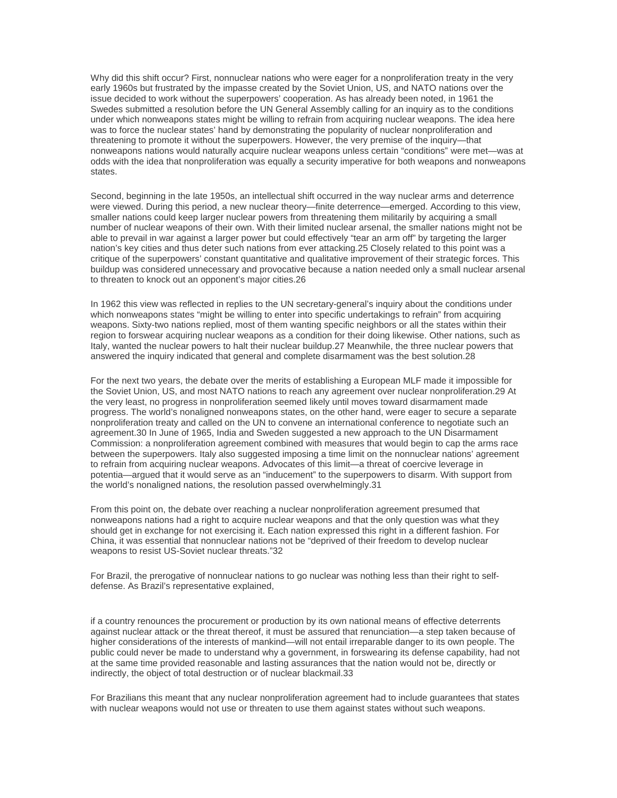Why did this shift occur? First, nonnuclear nations who were eager for a nonproliferation treaty in the very early 1960s but frustrated by the impasse created by the Soviet Union, US, and NATO nations over the issue decided to work without the superpowers' cooperation. As has already been noted, in 1961 the Swedes submitted a resolution before the UN General Assembly calling for an inquiry as to the conditions under which nonweapons states might be willing to refrain from acquiring nuclear weapons. The idea here was to force the nuclear states' hand by demonstrating the popularity of nuclear nonproliferation and threatening to promote it without the superpowers. However, the very premise of the inquiry—that nonweapons nations would naturally acquire nuclear weapons unless certain "conditions" were met—was at odds with the idea that nonproliferation was equally a security imperative for both weapons and nonweapons states.

Second, beginning in the late 1950s, an intellectual shift occurred in the way nuclear arms and deterrence were viewed. During this period, a new nuclear theory—finite deterrence—emerged. According to this view, smaller nations could keep larger nuclear powers from threatening them militarily by acquiring a small number of nuclear weapons of their own. With their limited nuclear arsenal, the smaller nations might not be able to prevail in war against a larger power but could effectively "tear an arm off" by targeting the larger nation's key cities and thus deter such nations from ever attacking.25 Closely related to this point was a critique of the superpowers' constant quantitative and qualitative improvement of their strategic forces. This buildup was considered unnecessary and provocative because a nation needed only a small nuclear arsenal to threaten to knock out an opponent's major cities.26

In 1962 this view was reflected in replies to the UN secretary-general's inquiry about the conditions under which nonweapons states "might be willing to enter into specific undertakings to refrain" from acquiring weapons. Sixty-two nations replied, most of them wanting specific neighbors or all the states within their region to forswear acquiring nuclear weapons as a condition for their doing likewise. Other nations, such as Italy, wanted the nuclear powers to halt their nuclear buildup.27 Meanwhile, the three nuclear powers that answered the inquiry indicated that general and complete disarmament was the best solution.28

For the next two years, the debate over the merits of establishing a European MLF made it impossible for the Soviet Union, US, and most NATO nations to reach any agreement over nuclear nonproliferation.29 At the very least, no progress in nonproliferation seemed likely until moves toward disarmament made progress. The world's nonaligned nonweapons states, on the other hand, were eager to secure a separate nonproliferation treaty and called on the UN to convene an international conference to negotiate such an agreement.30 In June of 1965, India and Sweden suggested a new approach to the UN Disarmament Commission: a nonproliferation agreement combined with measures that would begin to cap the arms race between the superpowers. Italy also suggested imposing a time limit on the nonnuclear nations' agreement to refrain from acquiring nuclear weapons. Advocates of this limit—a threat of coercive leverage in potentia—argued that it would serve as an "inducement" to the superpowers to disarm. With support from the world's nonaligned nations, the resolution passed overwhelmingly.31

From this point on, the debate over reaching a nuclear nonproliferation agreement presumed that nonweapons nations had a right to acquire nuclear weapons and that the only question was what they should get in exchange for not exercising it. Each nation expressed this right in a different fashion. For China, it was essential that nonnuclear nations not be "deprived of their freedom to develop nuclear weapons to resist US-Soviet nuclear threats."32

For Brazil, the prerogative of nonnuclear nations to go nuclear was nothing less than their right to selfdefense. As Brazil's representative explained,

if a country renounces the procurement or production by its own national means of effective deterrents against nuclear attack or the threat thereof, it must be assured that renunciation—a step taken because of higher considerations of the interests of mankind—will not entail irreparable danger to its own people. The public could never be made to understand why a government, in forswearing its defense capability, had not at the same time provided reasonable and lasting assurances that the nation would not be, directly or indirectly, the object of total destruction or of nuclear blackmail.33

For Brazilians this meant that any nuclear nonproliferation agreement had to include guarantees that states with nuclear weapons would not use or threaten to use them against states without such weapons.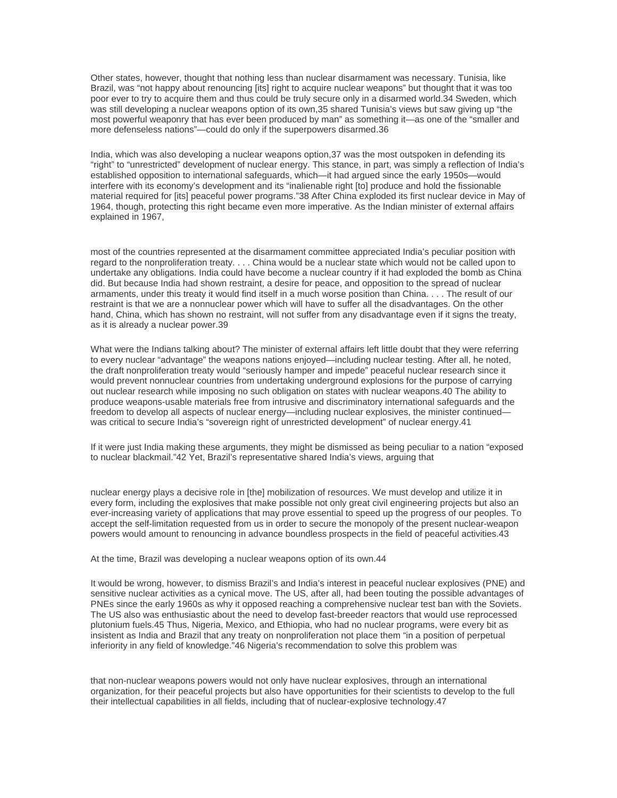Other states, however, thought that nothing less than nuclear disarmament was necessary. Tunisia, like Brazil, was "not happy about renouncing [its] right to acquire nuclear weapons" but thought that it was too poor ever to try to acquire them and thus could be truly secure only in a disarmed world.34 Sweden, which was still developing a nuclear weapons option of its own,35 shared Tunisia's views but saw giving up "the most powerful weaponry that has ever been produced by man" as something it—as one of the "smaller and more defenseless nations"—could do only if the superpowers disarmed.36

India, which was also developing a nuclear weapons option,37 was the most outspoken in defending its "right" to "unrestricted" development of nuclear energy. This stance, in part, was simply a reflection of India's established opposition to international safeguards, which—it had argued since the early 1950s—would interfere with its economy's development and its "inalienable right [to] produce and hold the fissionable material required for [its] peaceful power programs."38 After China exploded its first nuclear device in May of 1964, though, protecting this right became even more imperative. As the Indian minister of external affairs explained in 1967,

most of the countries represented at the disarmament committee appreciated India's peculiar position with regard to the nonproliferation treaty. . . . China would be a nuclear state which would not be called upon to undertake any obligations. India could have become a nuclear country if it had exploded the bomb as China did. But because India had shown restraint, a desire for peace, and opposition to the spread of nuclear armaments, under this treaty it would find itself in a much worse position than China. . . . The result of our restraint is that we are a nonnuclear power which will have to suffer all the disadvantages. On the other hand, China, which has shown no restraint, will not suffer from any disadvantage even if it signs the treaty, as it is already a nuclear power.39

What were the Indians talking about? The minister of external affairs left little doubt that they were referring to every nuclear "advantage" the weapons nations enjoyed—including nuclear testing. After all, he noted, the draft nonproliferation treaty would "seriously hamper and impede" peaceful nuclear research since it would prevent nonnuclear countries from undertaking underground explosions for the purpose of carrying out nuclear research while imposing no such obligation on states with nuclear weapons.40 The ability to produce weapons-usable materials free from intrusive and discriminatory international safeguards and the freedom to develop all aspects of nuclear energy—including nuclear explosives, the minister continued was critical to secure India's "sovereign right of unrestricted development" of nuclear energy.41

If it were just India making these arguments, they might be dismissed as being peculiar to a nation "exposed to nuclear blackmail."42 Yet, Brazil's representative shared India's views, arguing that

nuclear energy plays a decisive role in [the] mobilization of resources. We must develop and utilize it in every form, including the explosives that make possible not only great civil engineering projects but also an ever-increasing variety of applications that may prove essential to speed up the progress of our peoples. To accept the self-limitation requested from us in order to secure the monopoly of the present nuclear-weapon powers would amount to renouncing in advance boundless prospects in the field of peaceful activities.43

At the time, Brazil was developing a nuclear weapons option of its own.44

It would be wrong, however, to dismiss Brazil's and India's interest in peaceful nuclear explosives (PNE) and sensitive nuclear activities as a cynical move. The US, after all, had been touting the possible advantages of PNEs since the early 1960s as why it opposed reaching a comprehensive nuclear test ban with the Soviets. The US also was enthusiastic about the need to develop fast-breeder reactors that would use reprocessed plutonium fuels.45 Thus, Nigeria, Mexico, and Ethiopia, who had no nuclear programs, were every bit as insistent as India and Brazil that any treaty on nonproliferation not place them "in a position of perpetual inferiority in any field of knowledge."46 Nigeria's recommendation to solve this problem was

that non-nuclear weapons powers would not only have nuclear explosives, through an international organization, for their peaceful projects but also have opportunities for their scientists to develop to the full their intellectual capabilities in all fields, including that of nuclear-explosive technology.47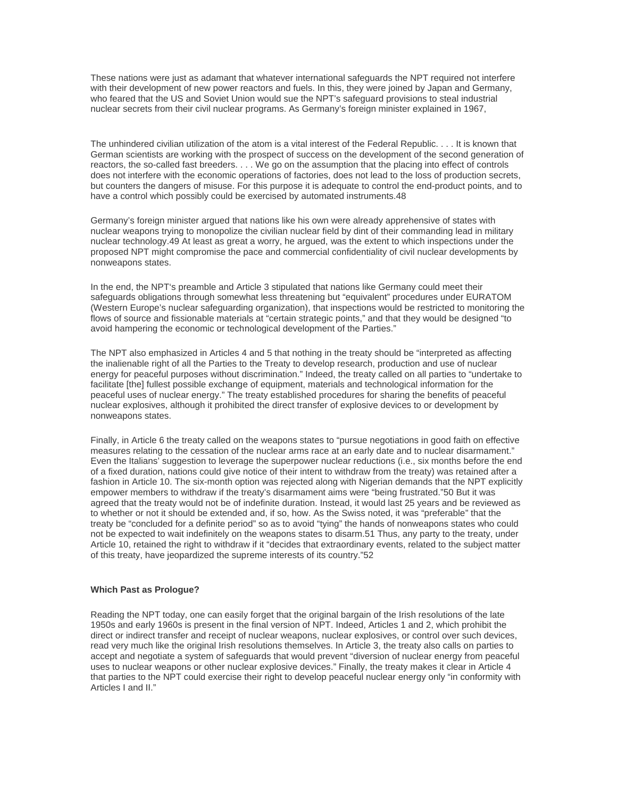These nations were just as adamant that whatever international safeguards the NPT required not interfere with their development of new power reactors and fuels. In this, they were joined by Japan and Germany, who feared that the US and Soviet Union would sue the NPT's safeguard provisions to steal industrial nuclear secrets from their civil nuclear programs. As Germany's foreign minister explained in 1967,

The unhindered civilian utilization of the atom is a vital interest of the Federal Republic. . . . It is known that German scientists are working with the prospect of success on the development of the second generation of reactors, the so-called fast breeders. . . . We go on the assumption that the placing into effect of controls does not interfere with the economic operations of factories, does not lead to the loss of production secrets, but counters the dangers of misuse. For this purpose it is adequate to control the end-product points, and to have a control which possibly could be exercised by automated instruments.48

Germany's foreign minister argued that nations like his own were already apprehensive of states with nuclear weapons trying to monopolize the civilian nuclear field by dint of their commanding lead in military nuclear technology.49 At least as great a worry, he argued, was the extent to which inspections under the proposed NPT might compromise the pace and commercial confidentiality of civil nuclear developments by nonweapons states.

In the end, the NPT's preamble and Article 3 stipulated that nations like Germany could meet their safeguards obligations through somewhat less threatening but "equivalent" procedures under EURATOM (Western Europe's nuclear safeguarding organization), that inspections would be restricted to monitoring the flows of source and fissionable materials at "certain strategic points," and that they would be designed "to avoid hampering the economic or technological development of the Parties."

The NPT also emphasized in Articles 4 and 5 that nothing in the treaty should be "interpreted as affecting the inalienable right of all the Parties to the Treaty to develop research, production and use of nuclear energy for peaceful purposes without discrimination." Indeed, the treaty called on all parties to "undertake to facilitate [the] fullest possible exchange of equipment, materials and technological information for the peaceful uses of nuclear energy." The treaty established procedures for sharing the benefits of peaceful nuclear explosives, although it prohibited the direct transfer of explosive devices to or development by nonweapons states.

Finally, in Article 6 the treaty called on the weapons states to "pursue negotiations in good faith on effective measures relating to the cessation of the nuclear arms race at an early date and to nuclear disarmament." Even the Italians' suggestion to leverage the superpower nuclear reductions (i.e., six months before the end of a fixed duration, nations could give notice of their intent to withdraw from the treaty) was retained after a fashion in Article 10. The six-month option was rejected along with Nigerian demands that the NPT explicitly empower members to withdraw if the treaty's disarmament aims were "being frustrated."50 But it was agreed that the treaty would not be of indefinite duration. Instead, it would last 25 years and be reviewed as to whether or not it should be extended and, if so, how. As the Swiss noted, it was "preferable" that the treaty be "concluded for a definite period" so as to avoid "tying" the hands of nonweapons states who could not be expected to wait indefinitely on the weapons states to disarm.51 Thus, any party to the treaty, under Article 10, retained the right to withdraw if it "decides that extraordinary events, related to the subject matter of this treaty, have jeopardized the supreme interests of its country."52

### **Which Past as Prologue?**

Reading the NPT today, one can easily forget that the original bargain of the Irish resolutions of the late 1950s and early 1960s is present in the final version of NPT. Indeed, Articles 1 and 2, which prohibit the direct or indirect transfer and receipt of nuclear weapons, nuclear explosives, or control over such devices, read very much like the original Irish resolutions themselves. In Article 3, the treaty also calls on parties to accept and negotiate a system of safeguards that would prevent "diversion of nuclear energy from peaceful uses to nuclear weapons or other nuclear explosive devices." Finally, the treaty makes it clear in Article 4 that parties to the NPT could exercise their right to develop peaceful nuclear energy only "in conformity with Articles I and II."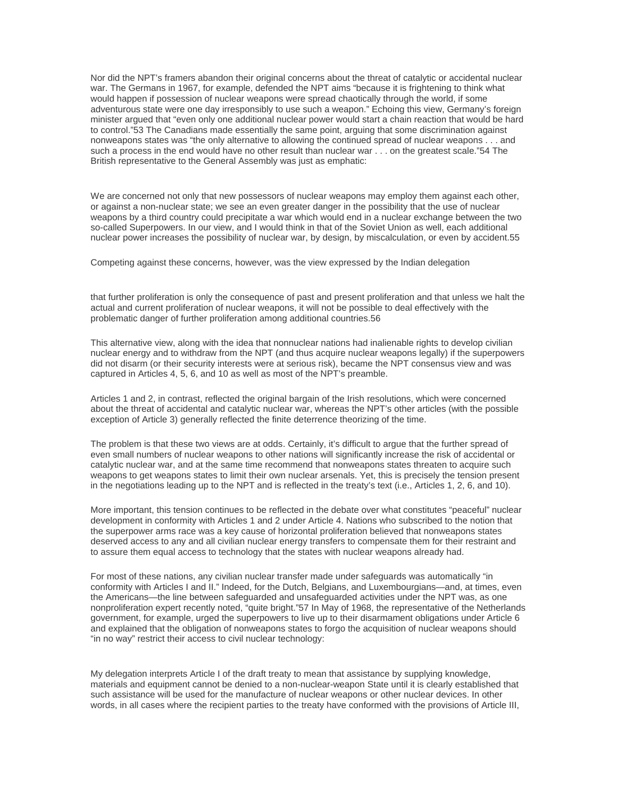Nor did the NPT's framers abandon their original concerns about the threat of catalytic or accidental nuclear war. The Germans in 1967, for example, defended the NPT aims "because it is frightening to think what would happen if possession of nuclear weapons were spread chaotically through the world, if some adventurous state were one day irresponsibly to use such a weapon." Echoing this view, Germany's foreign minister argued that "even only one additional nuclear power would start a chain reaction that would be hard to control."53 The Canadians made essentially the same point, arguing that some discrimination against nonweapons states was "the only alternative to allowing the continued spread of nuclear weapons . . . and such a process in the end would have no other result than nuclear war . . . on the greatest scale."54 The British representative to the General Assembly was just as emphatic:

We are concerned not only that new possessors of nuclear weapons may employ them against each other, or against a non-nuclear state; we see an even greater danger in the possibility that the use of nuclear weapons by a third country could precipitate a war which would end in a nuclear exchange between the two so-called Superpowers. In our view, and I would think in that of the Soviet Union as well, each additional nuclear power increases the possibility of nuclear war, by design, by miscalculation, or even by accident.55

Competing against these concerns, however, was the view expressed by the Indian delegation

that further proliferation is only the consequence of past and present proliferation and that unless we halt the actual and current proliferation of nuclear weapons, it will not be possible to deal effectively with the problematic danger of further proliferation among additional countries.56

This alternative view, along with the idea that nonnuclear nations had inalienable rights to develop civilian nuclear energy and to withdraw from the NPT (and thus acquire nuclear weapons legally) if the superpowers did not disarm (or their security interests were at serious risk), became the NPT consensus view and was captured in Articles 4, 5, 6, and 10 as well as most of the NPT's preamble.

Articles 1 and 2, in contrast, reflected the original bargain of the Irish resolutions, which were concerned about the threat of accidental and catalytic nuclear war, whereas the NPT's other articles (with the possible exception of Article 3) generally reflected the finite deterrence theorizing of the time.

The problem is that these two views are at odds. Certainly, it's difficult to argue that the further spread of even small numbers of nuclear weapons to other nations will significantly increase the risk of accidental or catalytic nuclear war, and at the same time recommend that nonweapons states threaten to acquire such weapons to get weapons states to limit their own nuclear arsenals. Yet, this is precisely the tension present in the negotiations leading up to the NPT and is reflected in the treaty's text (i.e., Articles 1, 2, 6, and 10).

More important, this tension continues to be reflected in the debate over what constitutes "peaceful" nuclear development in conformity with Articles 1 and 2 under Article 4. Nations who subscribed to the notion that the superpower arms race was a key cause of horizontal proliferation believed that nonweapons states deserved access to any and all civilian nuclear energy transfers to compensate them for their restraint and to assure them equal access to technology that the states with nuclear weapons already had.

For most of these nations, any civilian nuclear transfer made under safeguards was automatically "in conformity with Articles I and II." Indeed, for the Dutch, Belgians, and Luxembourgians—and, at times, even the Americans—the line between safeguarded and unsafeguarded activities under the NPT was, as one nonproliferation expert recently noted, "quite bright."57 In May of 1968, the representative of the Netherlands government, for example, urged the superpowers to live up to their disarmament obligations under Article 6 and explained that the obligation of nonweapons states to forgo the acquisition of nuclear weapons should "in no way" restrict their access to civil nuclear technology:

My delegation interprets Article I of the draft treaty to mean that assistance by supplying knowledge, materials and equipment cannot be denied to a non-nuclear-weapon State until it is clearly established that such assistance will be used for the manufacture of nuclear weapons or other nuclear devices. In other words, in all cases where the recipient parties to the treaty have conformed with the provisions of Article III,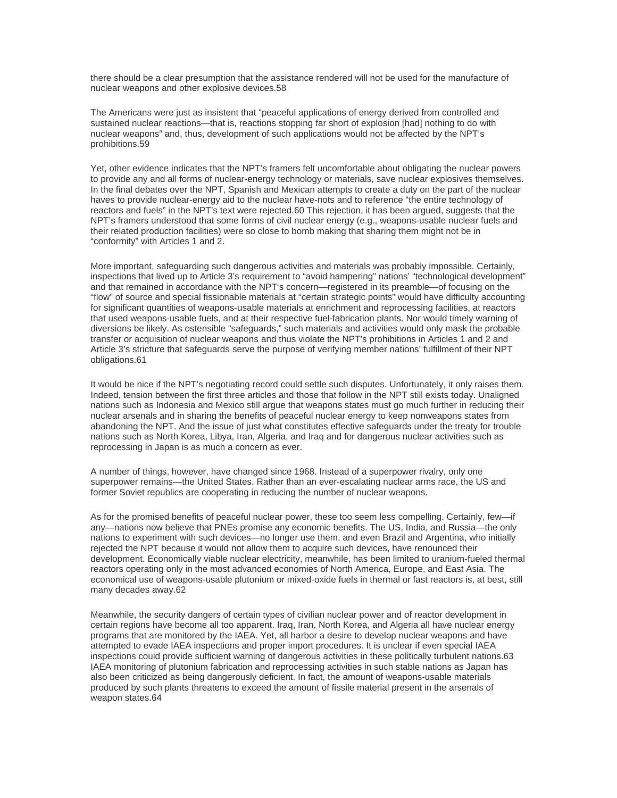there should be a clear presumption that the assistance rendered will not be used for the manufacture of nuclear weapons and other explosive devices.58

The Americans were just as insistent that "peaceful applications of energy derived from controlled and sustained nuclear reactions—that is, reactions stopping far short of explosion [had] nothing to do with nuclear weapons" and, thus, development of such applications would not be affected by the NPT's prohibitions.59

Yet, other evidence indicates that the NPT's framers felt uncomfortable about obligating the nuclear powers to provide any and all forms of nuclear-energy technology or materials, save nuclear explosives themselves. In the final debates over the NPT, Spanish and Mexican attempts to create a duty on the part of the nuclear haves to provide nuclear-energy aid to the nuclear have-nots and to reference "the entire technology of reactors and fuels" in the NPT's text were rejected.60 This rejection, it has been argued, suggests that the NPT's framers understood that some forms of civil nuclear energy (e.g., weapons-usable nuclear fuels and their related production facilities) were so close to bomb making that sharing them might not be in "conformity" with Articles 1 and 2.

More important, safeguarding such dangerous activities and materials was probably impossible. Certainly, inspections that lived up to Article 3's requirement to "avoid hampering" nations' "technological development" and that remained in accordance with the NPT's concern—registered in its preamble—of focusing on the "flow" of source and special fissionable materials at "certain strategic points" would have difficulty accounting for significant quantities of weapons-usable materials at enrichment and reprocessing facilities, at reactors that used weapons-usable fuels, and at their respective fuel-fabrication plants. Nor would timely warning of diversions be likely. As ostensible "safeguards," such materials and activities would only mask the probable transfer or acquisition of nuclear weapons and thus violate the NPT's prohibitions in Articles 1 and 2 and Article 3's stricture that safeguards serve the purpose of verifying member nations' fulfillment of their NPT obligations.61

It would be nice if the NPT's negotiating record could settle such disputes. Unfortunately, it only raises them. Indeed, tension between the first three articles and those that follow in the NPT still exists today. Unaligned nations such as Indonesia and Mexico still argue that weapons states must go much further in reducing their nuclear arsenals and in sharing the benefits of peaceful nuclear energy to keep nonweapons states from abandoning the NPT. And the issue of just what constitutes effective safeguards under the treaty for trouble nations such as North Korea, Libya, Iran, Algeria, and Iraq and for dangerous nuclear activities such as reprocessing in Japan is as much a concern as ever.

A number of things, however, have changed since 1968. Instead of a superpower rivalry, only one superpower remains—the United States. Rather than an ever-escalating nuclear arms race, the US and former Soviet republics are cooperating in reducing the number of nuclear weapons.

As for the promised benefits of peaceful nuclear power, these too seem less compelling. Certainly, few—if any—nations now believe that PNEs promise any economic benefits. The US, India, and Russia—the only nations to experiment with such devices—no longer use them, and even Brazil and Argentina, who initially rejected the NPT because it would not allow them to acquire such devices, have renounced their development. Economically viable nuclear electricity, meanwhile, has been limited to uranium-fueled thermal reactors operating only in the most advanced economies of North America, Europe, and East Asia. The economical use of weapons-usable plutonium or mixed-oxide fuels in thermal or fast reactors is, at best, still many decades away.62

Meanwhile, the security dangers of certain types of civilian nuclear power and of reactor development in certain regions have become all too apparent. Iraq, Iran, North Korea, and Algeria all have nuclear energy programs that are monitored by the IAEA. Yet, all harbor a desire to develop nuclear weapons and have attempted to evade IAEA inspections and proper import procedures. It is unclear if even special IAEA inspections could provide sufficient warning of dangerous activities in these politically turbulent nations.63 IAEA monitoring of plutonium fabrication and reprocessing activities in such stable nations as Japan has also been criticized as being dangerously deficient. In fact, the amount of weapons-usable materials produced by such plants threatens to exceed the amount of fissile material present in the arsenals of weapon states.64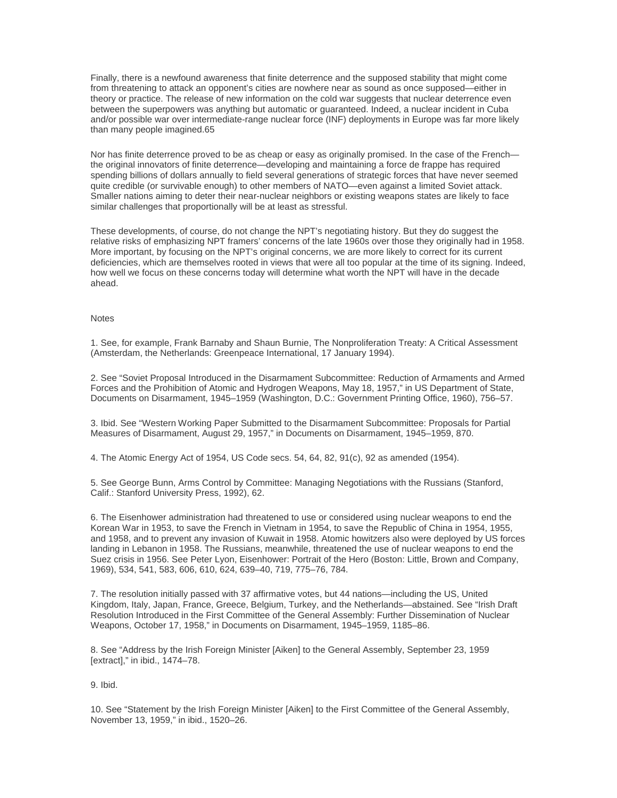Finally, there is a newfound awareness that finite deterrence and the supposed stability that might come from threatening to attack an opponent's cities are nowhere near as sound as once supposed—either in theory or practice. The release of new information on the cold war suggests that nuclear deterrence even between the superpowers was anything but automatic or guaranteed. Indeed, a nuclear incident in Cuba and/or possible war over intermediate-range nuclear force (INF) deployments in Europe was far more likely than many people imagined.65

Nor has finite deterrence proved to be as cheap or easy as originally promised. In the case of the French the original innovators of finite deterrence—developing and maintaining a force de frappe has required spending billions of dollars annually to field several generations of strategic forces that have never seemed quite credible (or survivable enough) to other members of NATO—even against a limited Soviet attack. Smaller nations aiming to deter their near-nuclear neighbors or existing weapons states are likely to face similar challenges that proportionally will be at least as stressful.

These developments, of course, do not change the NPT's negotiating history. But they do suggest the relative risks of emphasizing NPT framers' concerns of the late 1960s over those they originally had in 1958. More important, by focusing on the NPT's original concerns, we are more likely to correct for its current deficiencies, which are themselves rooted in views that were all too popular at the time of its signing. Indeed, how well we focus on these concerns today will determine what worth the NPT will have in the decade ahead.

#### **Notes**

1. See, for example, Frank Barnaby and Shaun Burnie, The Nonproliferation Treaty: A Critical Assessment (Amsterdam, the Netherlands: Greenpeace International, 17 January 1994).

2. See "Soviet Proposal Introduced in the Disarmament Subcommittee: Reduction of Armaments and Armed Forces and the Prohibition of Atomic and Hydrogen Weapons, May 18, 1957," in US Department of State, Documents on Disarmament, 1945–1959 (Washington, D.C.: Government Printing Office, 1960), 756–57.

3. Ibid. See "Western Working Paper Submitted to the Disarmament Subcommittee: Proposals for Partial Measures of Disarmament, August 29, 1957," in Documents on Disarmament, 1945–1959, 870.

4. The Atomic Energy Act of 1954, US Code secs. 54, 64, 82, 91(c), 92 as amended (1954).

5. See George Bunn, Arms Control by Committee: Managing Negotiations with the Russians (Stanford, Calif.: Stanford University Press, 1992), 62.

6. The Eisenhower administration had threatened to use or considered using nuclear weapons to end the Korean War in 1953, to save the French in Vietnam in 1954, to save the Republic of China in 1954, 1955, and 1958, and to prevent any invasion of Kuwait in 1958. Atomic howitzers also were deployed by US forces landing in Lebanon in 1958. The Russians, meanwhile, threatened the use of nuclear weapons to end the Suez crisis in 1956. See Peter Lyon, Eisenhower: Portrait of the Hero (Boston: Little, Brown and Company, 1969), 534, 541, 583, 606, 610, 624, 639–40, 719, 775–76, 784.

7. The resolution initially passed with 37 affirmative votes, but 44 nations—including the US, United Kingdom, Italy, Japan, France, Greece, Belgium, Turkey, and the Netherlands—abstained. See "Irish Draft Resolution Introduced in the First Committee of the General Assembly: Further Dissemination of Nuclear Weapons, October 17, 1958," in Documents on Disarmament, 1945–1959, 1185–86.

8. See "Address by the Irish Foreign Minister [Aiken] to the General Assembly, September 23, 1959 [extract]," in ibid., 1474–78.

9. Ibid.

10. See "Statement by the Irish Foreign Minister [Aiken] to the First Committee of the General Assembly, November 13, 1959," in ibid., 1520–26.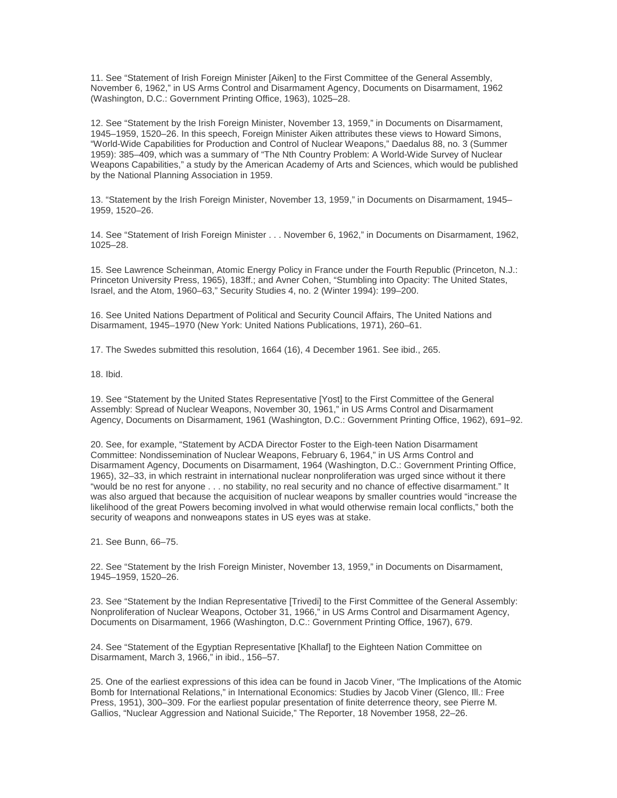11. See "Statement of Irish Foreign Minister [Aiken] to the First Committee of the General Assembly, November 6, 1962," in US Arms Control and Disarmament Agency, Documents on Disarmament, 1962 (Washington, D.C.: Government Printing Office, 1963), 1025–28.

12. See "Statement by the Irish Foreign Minister, November 13, 1959," in Documents on Disarmament, 1945–1959, 1520–26. In this speech, Foreign Minister Aiken attributes these views to Howard Simons, "World-Wide Capabilities for Production and Control of Nuclear Weapons," Daedalus 88, no. 3 (Summer 1959): 385–409, which was a summary of "The Nth Country Problem: A World-Wide Survey of Nuclear Weapons Capabilities," a study by the American Academy of Arts and Sciences, which would be published by the National Planning Association in 1959.

13. "Statement by the Irish Foreign Minister, November 13, 1959," in Documents on Disarmament, 1945– 1959, 1520–26.

14. See "Statement of Irish Foreign Minister . . . November 6, 1962," in Documents on Disarmament, 1962, 1025–28.

15. See Lawrence Scheinman, Atomic Energy Policy in France under the Fourth Republic (Princeton, N.J.: Princeton University Press, 1965), 183ff.; and Avner Cohen, "Stumbling into Opacity: The United States, Israel, and the Atom, 1960–63," Security Studies 4, no. 2 (Winter 1994): 199–200.

16. See United Nations Department of Political and Security Council Affairs, The United Nations and Disarmament, 1945–1970 (New York: United Nations Publications, 1971), 260–61.

17. The Swedes submitted this resolution, 1664 (16), 4 December 1961. See ibid., 265.

18. Ibid.

19. See "Statement by the United States Representative [Yost] to the First Committee of the General Assembly: Spread of Nuclear Weapons, November 30, 1961," in US Arms Control and Disarmament Agency, Documents on Disarmament, 1961 (Washington, D.C.: Government Printing Office, 1962), 691–92.

20. See, for example, "Statement by ACDA Director Foster to the Eigh-teen Nation Disarmament Committee: Nondissemination of Nuclear Weapons, February 6, 1964," in US Arms Control and Disarmament Agency, Documents on Disarmament, 1964 (Washington, D.C.: Government Printing Office, 1965), 32–33, in which restraint in international nuclear nonproliferation was urged since without it there "would be no rest for anyone . . . no stability, no real security and no chance of effective disarmament." It was also argued that because the acquisition of nuclear weapons by smaller countries would "increase the likelihood of the great Powers becoming involved in what would otherwise remain local conflicts," both the security of weapons and nonweapons states in US eyes was at stake.

21. See Bunn, 66–75.

22. See "Statement by the Irish Foreign Minister, November 13, 1959," in Documents on Disarmament, 1945–1959, 1520–26.

23. See "Statement by the Indian Representative [Trivedi] to the First Committee of the General Assembly: Nonproliferation of Nuclear Weapons, October 31, 1966," in US Arms Control and Disarmament Agency, Documents on Disarmament, 1966 (Washington, D.C.: Government Printing Office, 1967), 679.

24. See "Statement of the Egyptian Representative [Khallaf] to the Eighteen Nation Committee on Disarmament, March 3, 1966," in ibid., 156–57.

25. One of the earliest expressions of this idea can be found in Jacob Viner, "The Implications of the Atomic Bomb for International Relations," in International Economics: Studies by Jacob Viner (Glenco, Ill.: Free Press, 1951), 300–309. For the earliest popular presentation of finite deterrence theory, see Pierre M. Gallios, "Nuclear Aggression and National Suicide," The Reporter, 18 November 1958, 22–26.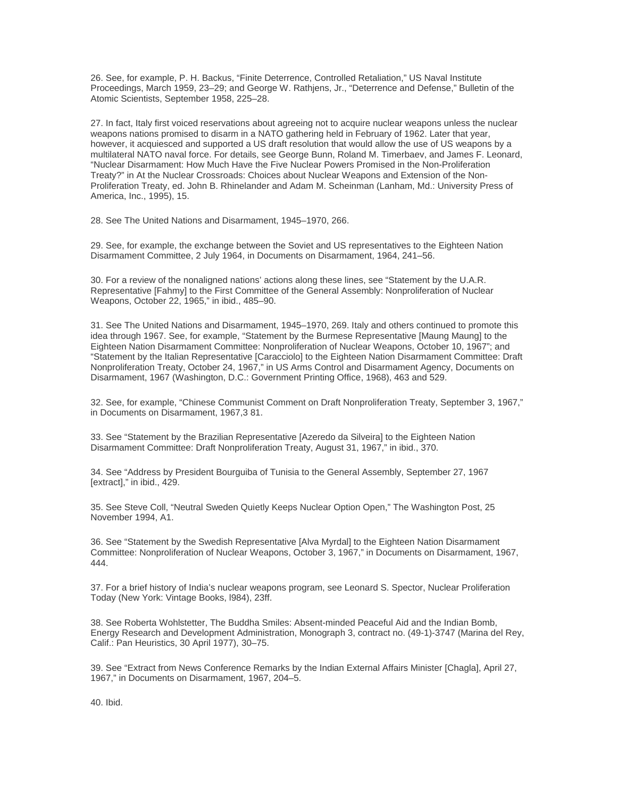26. See, for example, P. H. Backus, "Finite Deterrence, Controlled Retaliation," US Naval Institute Proceedings, March 1959, 23–29; and George W. Rathjens, Jr., "Deterrence and Defense," Bulletin of the Atomic Scientists, September 1958, 225–28.

27. In fact, Italy first voiced reservations about agreeing not to acquire nuclear weapons unless the nuclear weapons nations promised to disarm in a NATO gathering held in February of 1962. Later that year, however, it acquiesced and supported a US draft resolution that would allow the use of US weapons by a multilateral NATO naval force. For details, see George Bunn, Roland M. Timerbaev, and James F. Leonard, "Nuclear Disarmament: How Much Have the Five Nuclear Powers Promised in the Non-Proliferation Treaty?" in At the Nuclear Crossroads: Choices about Nuclear Weapons and Extension of the Non-Proliferation Treaty, ed. John B. Rhinelander and Adam M. Scheinman (Lanham, Md.: University Press of America, Inc., 1995), 15.

28. See The United Nations and Disarmament, 1945–1970, 266.

29. See, for example, the exchange between the Soviet and US representatives to the Eighteen Nation Disarmament Committee, 2 July 1964, in Documents on Disarmament, 1964, 241–56.

30. For a review of the nonaligned nations' actions along these lines, see "Statement by the U.A.R. Representative [Fahmy] to the First Committee of the General Assembly: Nonproliferation of Nuclear Weapons, October 22, 1965," in ibid., 485–90.

31. See The United Nations and Disarmament, 1945–1970, 269. Italy and others continued to promote this idea through 1967. See, for example, "Statement by the Burmese Representative [Maung Maung] to the Eighteen Nation Disarmament Committee: Nonproliferation of Nuclear Weapons, October 10, 1967"; and "Statement by the Italian Representative [Caracciolo] to the Eighteen Nation Disarmament Committee: Draft Nonproliferation Treaty, October 24, 1967," in US Arms Control and Disarmament Agency, Documents on Disarmament, 1967 (Washington, D.C.: Government Printing Office, 1968), 463 and 529.

32. See, for example, "Chinese Communist Comment on Draft Nonproliferation Treaty, September 3, 1967," in Documents on Disarmament, 1967,3 81.

33. See "Statement by the Brazilian Representative [Azeredo da Silveira] to the Eighteen Nation Disarmament Committee: Draft Nonproliferation Treaty, August 31, 1967," in ibid., 370.

34. See "Address by President Bourguiba of Tunisia to the General Assembly, September 27, 1967 [extract]," in ibid., 429.

35. See Steve Coll, "Neutral Sweden Quietly Keeps Nuclear Option Open," The Washington Post, 25 November 1994, A1.

36. See "Statement by the Swedish Representative [Alva Myrdal] to the Eighteen Nation Disarmament Committee: Nonproliferation of Nuclear Weapons, October 3, 1967," in Documents on Disarmament, 1967, 444.

37. For a brief history of India's nuclear weapons program, see Leonard S. Spector, Nuclear Proliferation Today (New York: Vintage Books, l984), 23ff.

38. See Roberta Wohlstetter, The Buddha Smiles: Absent-minded Peaceful Aid and the Indian Bomb, Energy Research and Development Administration, Monograph 3, contract no. (49-1)-3747 (Marina del Rey, Calif.: Pan Heuristics, 30 April 1977), 30–75.

39. See "Extract from News Conference Remarks by the Indian External Affairs Minister [Chagla], April 27, 1967," in Documents on Disarmament, 1967, 204–5.

40. Ibid.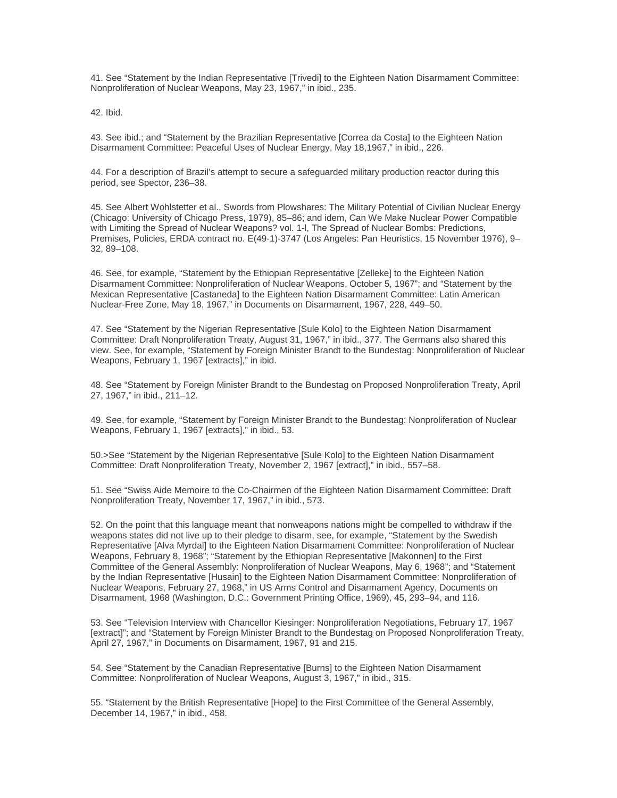41. See "Statement by the Indian Representative [Trivedi] to the Eighteen Nation Disarmament Committee: Nonproliferation of Nuclear Weapons, May 23, 1967," in ibid., 235.

42. Ibid.

43. See ibid.; and "Statement by the Brazilian Representative [Correa da Costa] to the Eighteen Nation Disarmament Committee: Peaceful Uses of Nuclear Energy, May 18,1967," in ibid., 226.

44. For a description of Brazil's attempt to secure a safeguarded military production reactor during this period, see Spector, 236–38.

45. See Albert Wohlstetter et al., Swords from Plowshares: The Military Potential of Civilian Nuclear Energy (Chicago: University of Chicago Press, 1979), 85–86; and idem, Can We Make Nuclear Power Compatible with Limiting the Spread of Nuclear Weapons? vol. 1-l, The Spread of Nuclear Bombs: Predictions, Premises, Policies, ERDA contract no. E(49-1)-3747 (Los Angeles: Pan Heuristics, 15 November 1976), 9– 32, 89–108.

46. See, for example, "Statement by the Ethiopian Representative [Zelleke] to the Eighteen Nation Disarmament Committee: Nonproliferation of Nuclear Weapons, October 5, 1967"; and "Statement by the Mexican Representative [Castaneda] to the Eighteen Nation Disarmament Committee: Latin American Nuclear-Free Zone, May 18, 1967," in Documents on Disarmament, 1967, 228, 449–50.

47. See "Statement by the Nigerian Representative [Sule Kolo] to the Eighteen Nation Disarmament Committee: Draft Nonproliferation Treaty, August 31, 1967," in ibid., 377. The Germans also shared this view. See, for example, "Statement by Foreign Minister Brandt to the Bundestag: Nonproliferation of Nuclear Weapons, February 1, 1967 [extracts]," in ibid.

48. See "Statement by Foreign Minister Brandt to the Bundestag on Proposed Nonproliferation Treaty, April 27, 1967," in ibid., 211–12.

49. See, for example, "Statement by Foreign Minister Brandt to the Bundestag: Nonproliferation of Nuclear Weapons, February 1, 1967 [extracts]," in ibid., 53.

50.>See "Statement by the Nigerian Representative [Sule Kolo] to the Eighteen Nation Disarmament Committee: Draft Nonproliferation Treaty, November 2, 1967 [extract]," in ibid., 557–58.

51. See "Swiss Aide Memoire to the Co-Chairmen of the Eighteen Nation Disarmament Committee: Draft Nonproliferation Treaty, November 17, 1967," in ibid., 573.

52. On the point that this language meant that nonweapons nations might be compelled to withdraw if the weapons states did not live up to their pledge to disarm, see, for example, "Statement by the Swedish Representative [Alva Myrdal] to the Eighteen Nation Disarmament Committee: Nonproliferation of Nuclear Weapons, February 8, 1968"; "Statement by the Ethiopian Representative [Makonnen] to the First Committee of the General Assembly: Nonproliferation of Nuclear Weapons, May 6, 1968"; and "Statement by the Indian Representative [Husain] to the Eighteen Nation Disarmament Committee: Nonproliferation of Nuclear Weapons, February 27, 1968," in US Arms Control and Disarmament Agency, Documents on Disarmament, 1968 (Washington, D.C.: Government Printing Office, 1969), 45, 293–94, and 116.

53. See "Television Interview with Chancellor Kiesinger: Nonproliferation Negotiations, February 17, 1967 [extract]"; and "Statement by Foreign Minister Brandt to the Bundestag on Proposed Nonproliferation Treaty, April 27, 1967," in Documents on Disarmament, 1967, 91 and 215.

54. See "Statement by the Canadian Representative [Burns] to the Eighteen Nation Disarmament Committee: Nonproliferation of Nuclear Weapons, August 3, 1967," in ibid., 315.

55. "Statement by the British Representative [Hope] to the First Committee of the General Assembly, December 14, 1967," in ibid., 458.